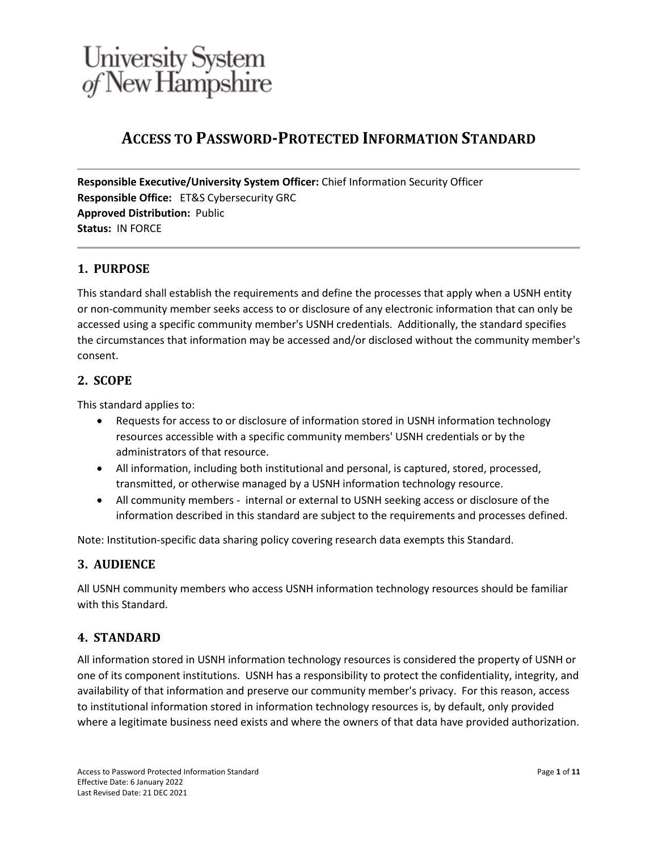# **ACCESS TO PASSWORD-PROTECTED INFORMATION STANDARD**

**Responsible Executive/University System Officer:** Chief Information Security Officer **Responsible Office:** ET&S Cybersecurity GRC **Approved Distribution:** Public **Status:** IN FORCE

# **1. PURPOSE**

This standard shall establish the requirements and define the processes that apply when a USNH entity or non-community member seeks access to or disclosure of any electronic information that can only be accessed using a specific community member's USNH credentials. Additionally, the standard specifies the circumstances that information may be accessed and/or disclosed without the community member's consent.

## **2. SCOPE**

This standard applies to:

- Requests for access to or disclosure of information stored in USNH information technology resources accessible with a specific community members' USNH credentials or by the administrators of that resource.
- All information, including both institutional and personal, is captured, stored, processed, transmitted, or otherwise managed by a USNH information technology resource.
- All community members internal or external to USNH seeking access or disclosure of the information described in this standard are subject to the requirements and processes defined.

Note: Institution-specific data sharing policy covering research data exempts this Standard.

## **3. AUDIENCE**

All USNH community members who access USNH information technology resources should be familiar with this Standard.

## **4. STANDARD**

All information stored in USNH information technology resources is considered the property of USNH or one of its component institutions. USNH has a responsibility to protect the confidentiality, integrity, and availability of that information and preserve our community member's privacy. For this reason, access to institutional information stored in information technology resources is, by default, only provided where a legitimate business need exists and where the owners of that data have provided authorization.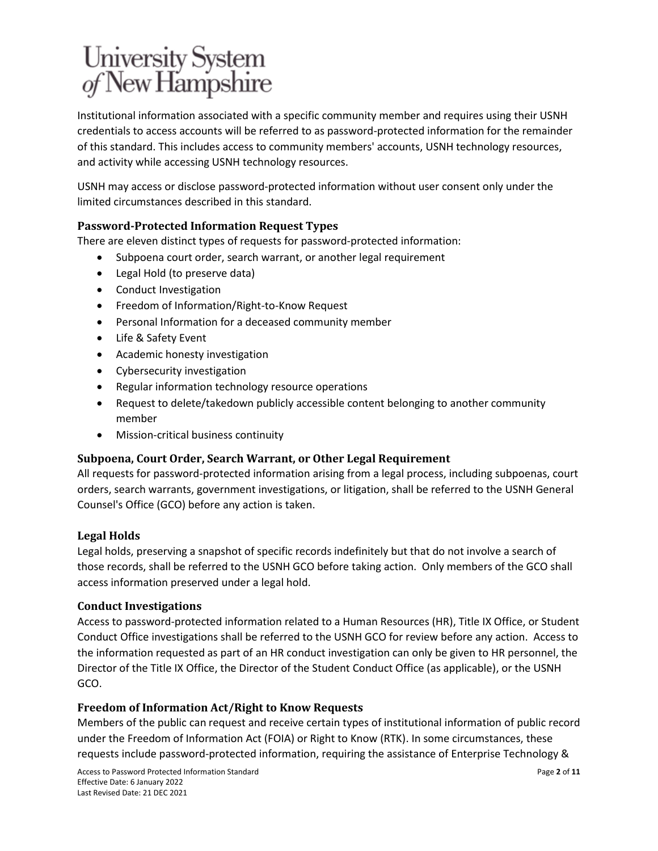Institutional information associated with a specific community member and requires using their USNH credentials to access accounts will be referred to as password-protected information for the remainder of this standard. This includes access to community members' accounts, USNH technology resources, and activity while accessing USNH technology resources.

USNH may access or disclose password-protected information without user consent only under the limited circumstances described in this standard.

# **Password-Protected Information Request Types**

There are eleven distinct types of requests for password-protected information:

- Subpoena court order, search warrant, or another legal requirement
- Legal Hold (to preserve data)
- Conduct Investigation
- Freedom of Information/Right-to-Know Request
- Personal Information for a deceased community member
- Life & Safety Event
- Academic honesty investigation
- Cybersecurity investigation
- Regular information technology resource operations
- Request to delete/takedown publicly accessible content belonging to another community member
- Mission-critical business continuity

## **Subpoena, Court Order, Search Warrant, or Other Legal Requirement**

All requests for password-protected information arising from a legal process, including subpoenas, court orders, search warrants, government investigations, or litigation, shall be referred to the USNH General Counsel's Office (GCO) before any action is taken.

#### **Legal Holds**

Legal holds, preserving a snapshot of specific records indefinitely but that do not involve a search of those records, shall be referred to the USNH GCO before taking action. Only members of the GCO shall access information preserved under a legal hold.

#### **Conduct Investigations**

Access to password-protected information related to a Human Resources (HR), Title IX Office, or Student Conduct Office investigations shall be referred to the USNH GCO for review before any action. Access to the information requested as part of an HR conduct investigation can only be given to HR personnel, the Director of the Title IX Office, the Director of the Student Conduct Office (as applicable), or the USNH GCO.

#### **Freedom of Information Act/Right to Know Requests**

Members of the public can request and receive certain types of institutional information of public record under the Freedom of Information Act (FOIA) or Right to Know (RTK). In some circumstances, these requests include password-protected information, requiring the assistance of Enterprise Technology &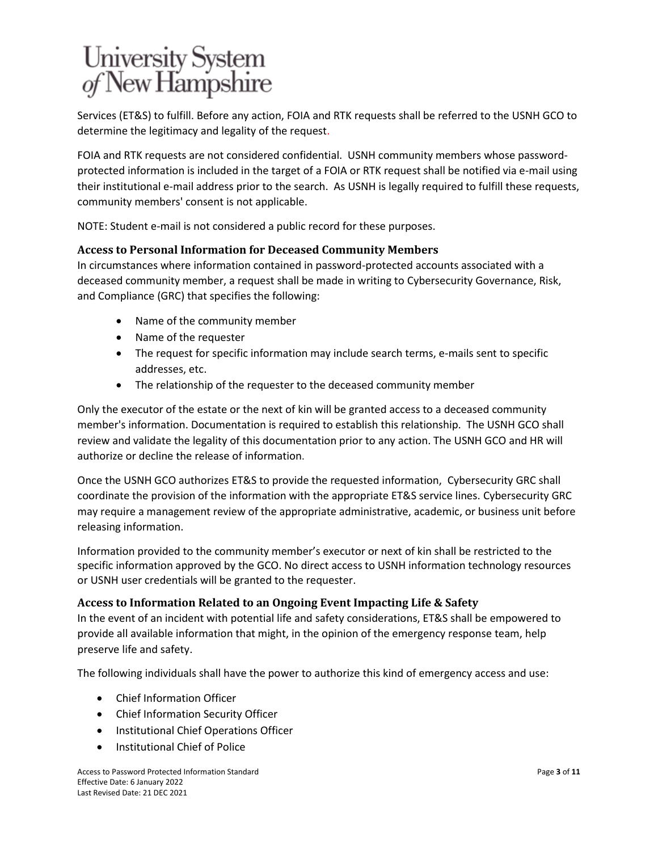Services (ET&S) to fulfill. Before any action, FOIA and RTK requests shall be referred to the USNH GCO to determine the legitimacy and legality of the request.

FOIA and RTK requests are not considered confidential. USNH community members whose passwordprotected information is included in the target of a FOIA or RTK request shall be notified via e-mail using their institutional e-mail address prior to the search. As USNH is legally required to fulfill these requests, community members' consent is not applicable.

NOTE: Student e-mail is not considered a public record for these purposes.

#### **Access to Personal Information for Deceased Community Members**

In circumstances where information contained in password-protected accounts associated with a deceased community member, a request shall be made in writing to Cybersecurity Governance, Risk, and Compliance (GRC) that specifies the following:

- Name of the community member
- Name of the requester
- The request for specific information may include search terms, e-mails sent to specific addresses, etc.
- The relationship of the requester to the deceased community member

Only the executor of the estate or the next of kin will be granted access to a deceased community member's information. Documentation is required to establish this relationship. The USNH GCO shall review and validate the legality of this documentation prior to any action. The USNH GCO and HR will authorize or decline the release of information.

Once the USNH GCO authorizes ET&S to provide the requested information, Cybersecurity GRC shall coordinate the provision of the information with the appropriate ET&S service lines. Cybersecurity GRC may require a management review of the appropriate administrative, academic, or business unit before releasing information.

Information provided to the community member's executor or next of kin shall be restricted to the specific information approved by the GCO. No direct access to USNH information technology resources or USNH user credentials will be granted to the requester.

#### **Access to Information Related to an Ongoing Event Impacting Life & Safety**

In the event of an incident with potential life and safety considerations, ET&S shall be empowered to provide all available information that might, in the opinion of the emergency response team, help preserve life and safety.

The following individuals shall have the power to authorize this kind of emergency access and use:

- Chief Information Officer
- Chief Information Security Officer
- Institutional Chief Operations Officer
- Institutional Chief of Police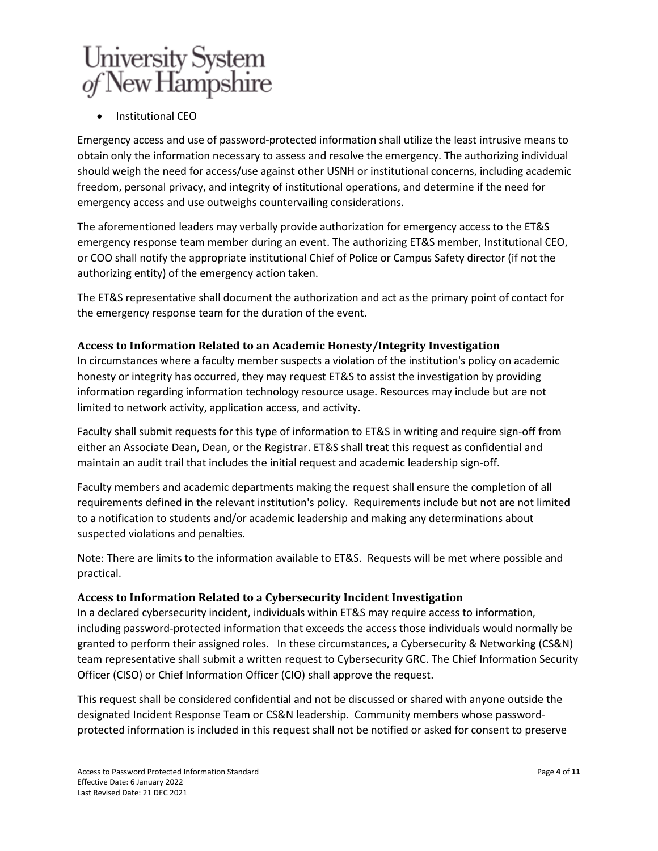• Institutional CEO

Emergency access and use of password-protected information shall utilize the least intrusive means to obtain only the information necessary to assess and resolve the emergency. The authorizing individual should weigh the need for access/use against other USNH or institutional concerns, including academic freedom, personal privacy, and integrity of institutional operations, and determine if the need for emergency access and use outweighs countervailing considerations.

The aforementioned leaders may verbally provide authorization for emergency access to the ET&S emergency response team member during an event. The authorizing ET&S member, Institutional CEO, or COO shall notify the appropriate institutional Chief of Police or Campus Safety director (if not the authorizing entity) of the emergency action taken.

The ET&S representative shall document the authorization and act as the primary point of contact for the emergency response team for the duration of the event.

## **Access to Information Related to an Academic Honesty/Integrity Investigation**

In circumstances where a faculty member suspects a violation of the institution's policy on academic honesty or integrity has occurred, they may request ET&S to assist the investigation by providing information regarding information technology resource usage. Resources may include but are not limited to network activity, application access, and activity.

Faculty shall submit requests for this type of information to ET&S in writing and require sign-off from either an Associate Dean, Dean, or the Registrar. ET&S shall treat this request as confidential and maintain an audit trail that includes the initial request and academic leadership sign-off.

Faculty members and academic departments making the request shall ensure the completion of all requirements defined in the relevant institution's policy. Requirements include but not are not limited to a notification to students and/or academic leadership and making any determinations about suspected violations and penalties.

Note: There are limits to the information available to ET&S. Requests will be met where possible and practical.

## **Access to Information Related to a Cybersecurity Incident Investigation**

In a declared cybersecurity incident, individuals within ET&S may require access to information, including password-protected information that exceeds the access those individuals would normally be granted to perform their assigned roles. In these circumstances, a Cybersecurity & Networking (CS&N) team representative shall submit a written request to Cybersecurity GRC. The Chief Information Security Officer (CISO) or Chief Information Officer (CIO) shall approve the request.

This request shall be considered confidential and not be discussed or shared with anyone outside the designated Incident Response Team or CS&N leadership. Community members whose passwordprotected information is included in this request shall not be notified or asked for consent to preserve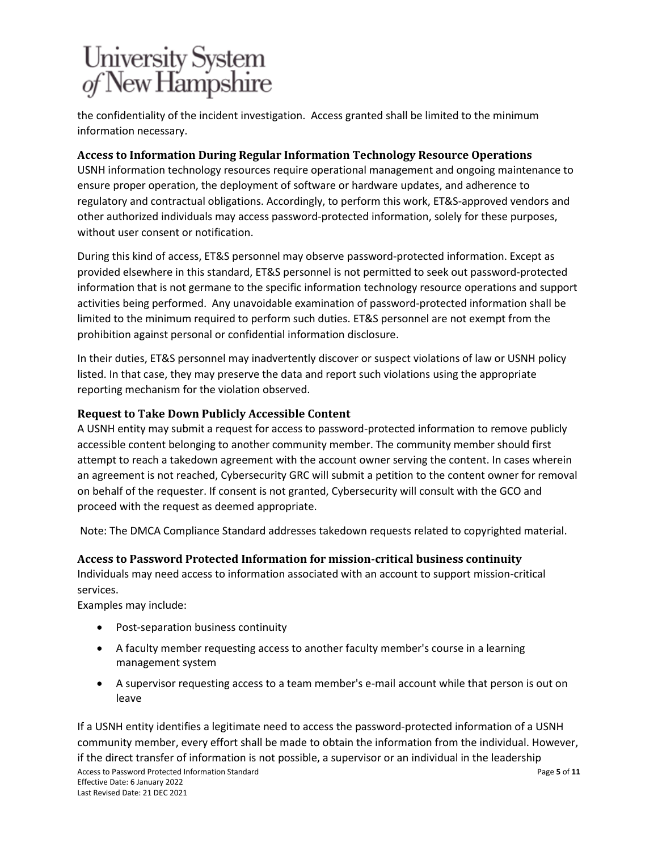the confidentiality of the incident investigation. Access granted shall be limited to the minimum information necessary.

# **Access to Information During Regular Information Technology Resource Operations**

USNH information technology resources require operational management and ongoing maintenance to ensure proper operation, the deployment of software or hardware updates, and adherence to regulatory and contractual obligations. Accordingly, to perform this work, ET&S-approved vendors and other authorized individuals may access password-protected information, solely for these purposes, without user consent or notification.

During this kind of access, ET&S personnel may observe password-protected information. Except as provided elsewhere in this standard, ET&S personnel is not permitted to seek out password-protected information that is not germane to the specific information technology resource operations and support activities being performed. Any unavoidable examination of password-protected information shall be limited to the minimum required to perform such duties. ET&S personnel are not exempt from the prohibition against personal or confidential information disclosure.

In their duties, ET&S personnel may inadvertently discover or suspect violations of law or USNH policy listed. In that case, they may preserve the data and report such violations using the appropriate reporting mechanism for the violation observed.

# **Request to Take Down Publicly Accessible Content**

A USNH entity may submit a request for access to password-protected information to remove publicly accessible content belonging to another community member. The community member should first attempt to reach a takedown agreement with the account owner serving the content. In cases wherein an agreement is not reached, Cybersecurity GRC will submit a petition to the content owner for removal on behalf of the requester. If consent is not granted, Cybersecurity will consult with the GCO and proceed with the request as deemed appropriate.

Note: The DMCA Compliance Standard addresses takedown requests related to copyrighted material.

## **Access to Password Protected Information for mission-critical business continuity**

Individuals may need access to information associated with an account to support mission-critical services.

Examples may include:

- Post-separation business continuity
- A faculty member requesting access to another faculty member's course in a learning management system
- A supervisor requesting access to a team member's e-mail account while that person is out on leave

Access to Password Protected Information Standard Effective Date: 6 January 2022 Last Revised Date: 21 DEC 2021 Page **5** of **11** If a USNH entity identifies a legitimate need to access the password-protected information of a USNH community member, every effort shall be made to obtain the information from the individual. However, if the direct transfer of information is not possible, a supervisor or an individual in the leadership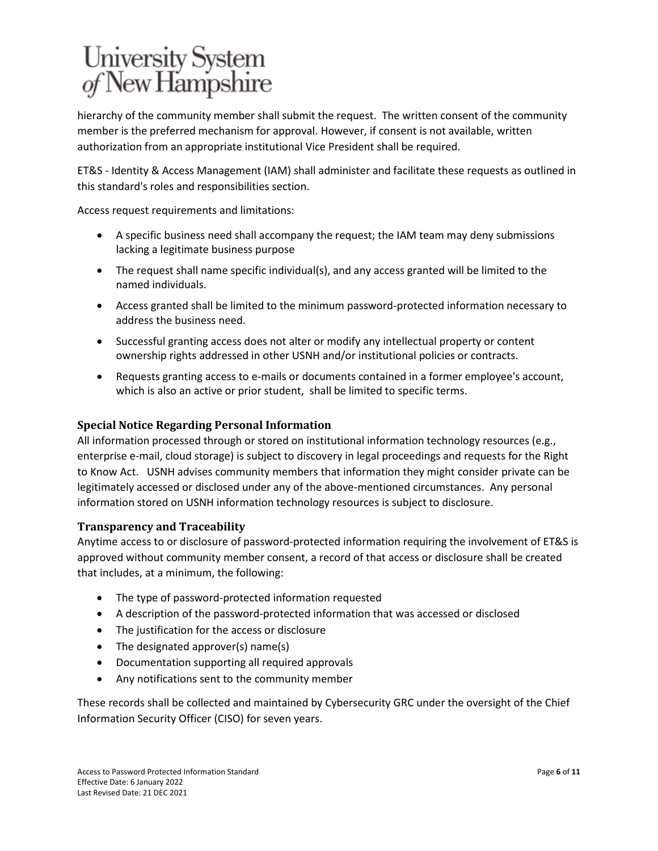hierarchy of the community member shall submit the request. The written consent of the community member is the preferred mechanism for approval. However, if consent is not available, written authorization from an appropriate institutional Vice President shall be required.

ET&S - Identity & Access Management (IAM) shall administer and facilitate these requests as outlined in this standard's roles and responsibilities section.

Access request requirements and limitations:

- A specific business need shall accompany the request; the IAM team may deny submissions lacking a legitimate business purpose
- The request shall name specific individual(s), and any access granted will be limited to the named individuals.
- Access granted shall be limited to the minimum password-protected information necessary to address the business need.
- Successful granting access does not alter or modify any intellectual property or content ownership rights addressed in other USNH and/or institutional policies or contracts.
- Requests granting access to e-mails or documents contained in a former employee's account, which is also an active or prior student, shall be limited to specific terms.

## **Special Notice Regarding Personal Information**

All information processed through or stored on institutional information technology resources (e.g., enterprise e-mail, cloud storage) is subject to discovery in legal proceedings and requests for the Right to Know Act. USNH advises community members that information they might consider private can be legitimately accessed or disclosed under any of the above-mentioned circumstances. Any personal information stored on USNH information technology resources is subject to disclosure.

## **Transparency and Traceability**

Anytime access to or disclosure of password-protected information requiring the involvement of ET&S is approved without community member consent, a record of that access or disclosure shall be created that includes, at a minimum, the following:

- The type of password-protected information requested
- A description of the password-protected information that was accessed or disclosed
- The justification for the access or disclosure
- The designated approver(s) name(s)
- Documentation supporting all required approvals
- Any notifications sent to the community member

These records shall be collected and maintained by Cybersecurity GRC under the oversight of the Chief Information Security Officer (CISO) for seven years.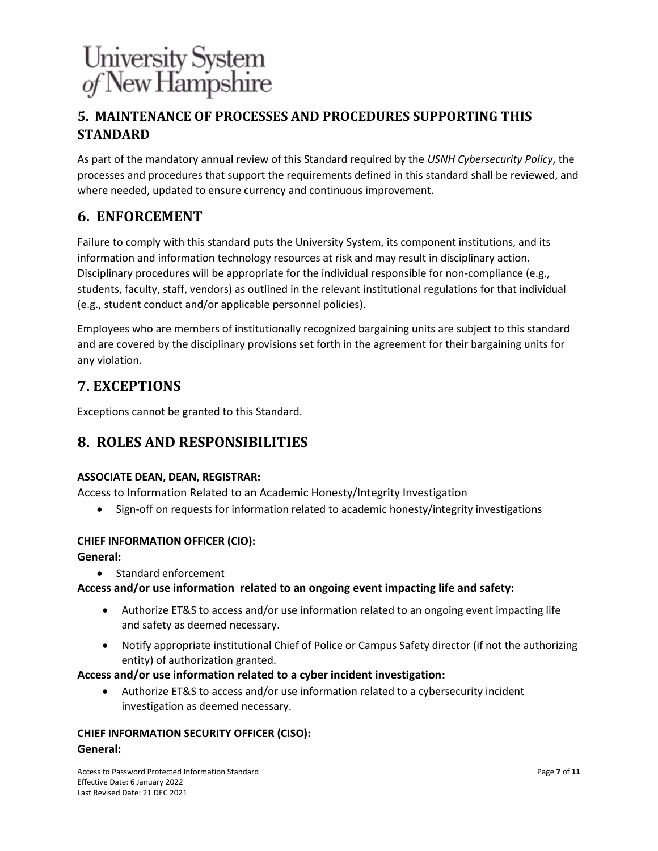# **5. MAINTENANCE OF PROCESSES AND PROCEDURES SUPPORTING THIS STANDARD**

As part of the mandatory annual review of this Standard required by the *USNH Cybersecurity Policy*, the processes and procedures that support the requirements defined in this standard shall be reviewed, and where needed, updated to ensure currency and continuous improvement.

# **6. ENFORCEMENT**

Failure to comply with this standard puts the University System, its component institutions, and its information and information technology resources at risk and may result in disciplinary action. Disciplinary procedures will be appropriate for the individual responsible for non-compliance (e.g., students, faculty, staff, vendors) as outlined in the relevant institutional regulations for that individual (e.g., student conduct and/or applicable personnel policies).

Employees who are members of institutionally recognized bargaining units are subject to this standard and are covered by the disciplinary provisions set forth in the agreement for their bargaining units for any violation.

# **7. EXCEPTIONS**

Exceptions cannot be granted to this Standard.

# **8. ROLES AND RESPONSIBILITIES**

## **ASSOCIATE DEAN, DEAN, REGISTRAR:**

Access to Information Related to an Academic Honesty/Integrity Investigation

• Sign-off on requests for information related to academic honesty/integrity investigations

## **CHIEF INFORMATION OFFICER (CIO):**

## **General:**

• Standard enforcement

## **Access and/or use information related to an ongoing event impacting life and safety:**

- Authorize ET&S to access and/or use information related to an ongoing event impacting life and safety as deemed necessary.
- Notify appropriate institutional Chief of Police or Campus Safety director (if not the authorizing entity) of authorization granted.

## **Access and/or use information related to a cyber incident investigation:**

• Authorize ET&S to access and/or use information related to a cybersecurity incident investigation as deemed necessary.

#### **CHIEF INFORMATION SECURITY OFFICER (CISO):**

#### **General:**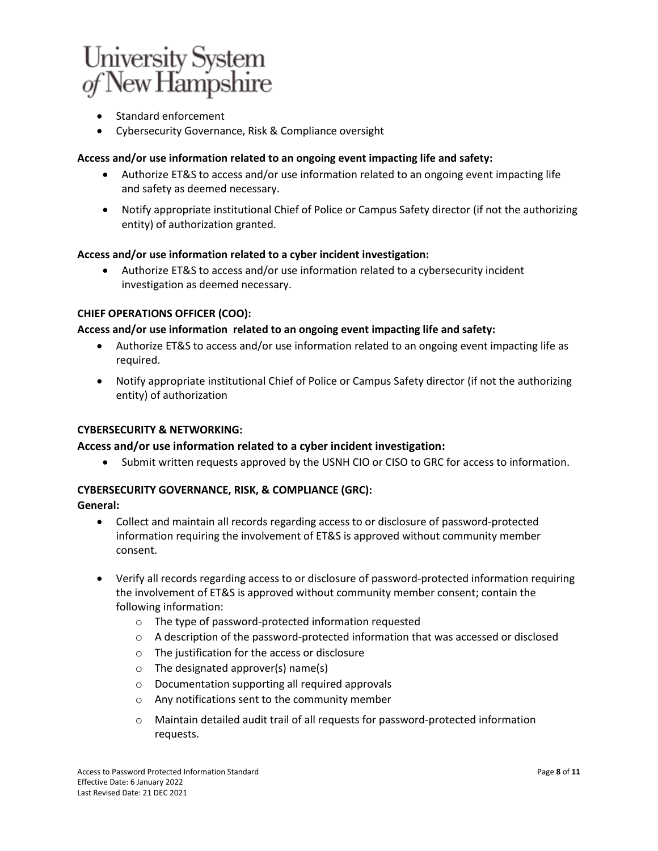- Standard enforcement
- Cybersecurity Governance, Risk & Compliance oversight

#### **Access and/or use information related to an ongoing event impacting life and safety:**

- Authorize ET&S to access and/or use information related to an ongoing event impacting life and safety as deemed necessary.
- Notify appropriate institutional Chief of Police or Campus Safety director (if not the authorizing entity) of authorization granted.

#### **Access and/or use information related to a cyber incident investigation:**

• Authorize ET&S to access and/or use information related to a cybersecurity incident investigation as deemed necessary.

#### **CHIEF OPERATIONS OFFICER (COO):**

#### **Access and/or use information related to an ongoing event impacting life and safety:**

- Authorize ET&S to access and/or use information related to an ongoing event impacting life as required.
- Notify appropriate institutional Chief of Police or Campus Safety director (if not the authorizing entity) of authorization

#### **CYBERSECURITY & NETWORKING:**

#### **Access and/or use information related to a cyber incident investigation:**

• Submit written requests approved by the USNH CIO or CISO to GRC for access to information.

#### **CYBERSECURITY GOVERNANCE, RISK, & COMPLIANCE (GRC):**

**General:**

- Collect and maintain all records regarding access to or disclosure of password-protected information requiring the involvement of ET&S is approved without community member consent.
- Verify all records regarding access to or disclosure of password-protected information requiring the involvement of ET&S is approved without community member consent; contain the following information:
	- o The type of password-protected information requested
	- $\circ$  A description of the password-protected information that was accessed or disclosed
	- o The justification for the access or disclosure
	- o The designated approver(s) name(s)
	- o Documentation supporting all required approvals
	- o Any notifications sent to the community member
	- o Maintain detailed audit trail of all requests for password-protected information requests.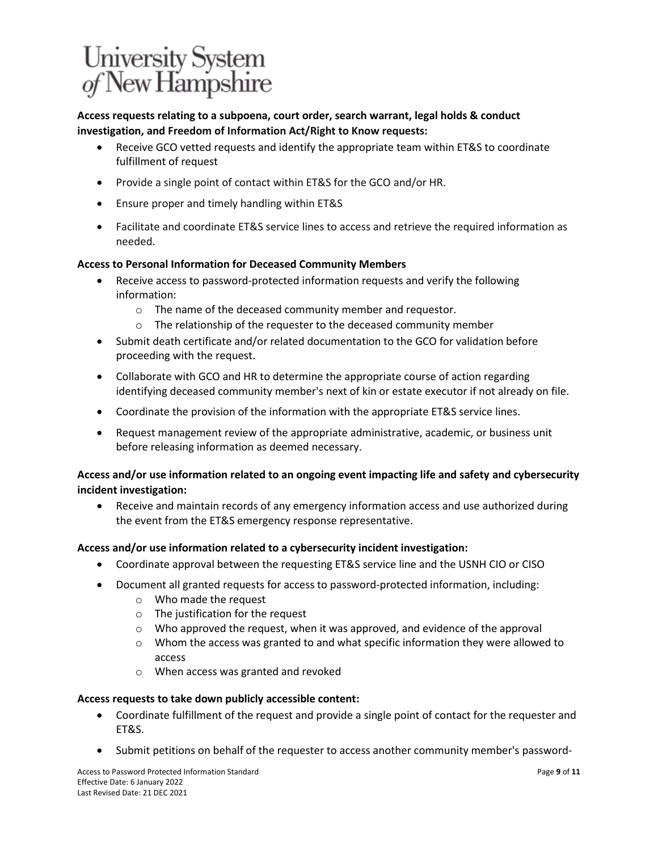# **Access requests relating to a subpoena, court order, search warrant, legal holds & conduct investigation, and Freedom of Information Act/Right to Know requests:**

- Receive GCO vetted requests and identify the appropriate team within ET&S to coordinate fulfillment of request
- Provide a single point of contact within ET&S for the GCO and/or HR.
- Ensure proper and timely handling within ET&S
- Facilitate and coordinate ET&S service lines to access and retrieve the required information as needed.

#### **Access to Personal Information for Deceased Community Members**

- Receive access to password-protected information requests and verify the following information:
	- o The name of the deceased community member and requestor.
	- o The relationship of the requester to the deceased community member
- Submit death certificate and/or related documentation to the GCO for validation before proceeding with the request.
- Collaborate with GCO and HR to determine the appropriate course of action regarding identifying deceased community member's next of kin or estate executor if not already on file.
- Coordinate the provision of the information with the appropriate ET&S service lines.
- Request management review of the appropriate administrative, academic, or business unit before releasing information as deemed necessary.

## **Access and/or use information related to an ongoing event impacting life and safety and cybersecurity incident investigation:**

• Receive and maintain records of any emergency information access and use authorized during the event from the ET&S emergency response representative.

#### **Access and/or use information related to a cybersecurity incident investigation:**

- Coordinate approval between the requesting ET&S service line and the USNH CIO or CISO
- Document all granted requests for access to password-protected information, including:
	- o Who made the request
	- o The justification for the request
	- $\circ$  Who approved the request, when it was approved, and evidence of the approval
	- $\circ$  Whom the access was granted to and what specific information they were allowed to access
	- o When access was granted and revoked

#### **Access requests to take down publicly accessible content:**

- Coordinate fulfillment of the request and provide a single point of contact for the requester and ET&S.
- Submit petitions on behalf of the requester to access another community member's password-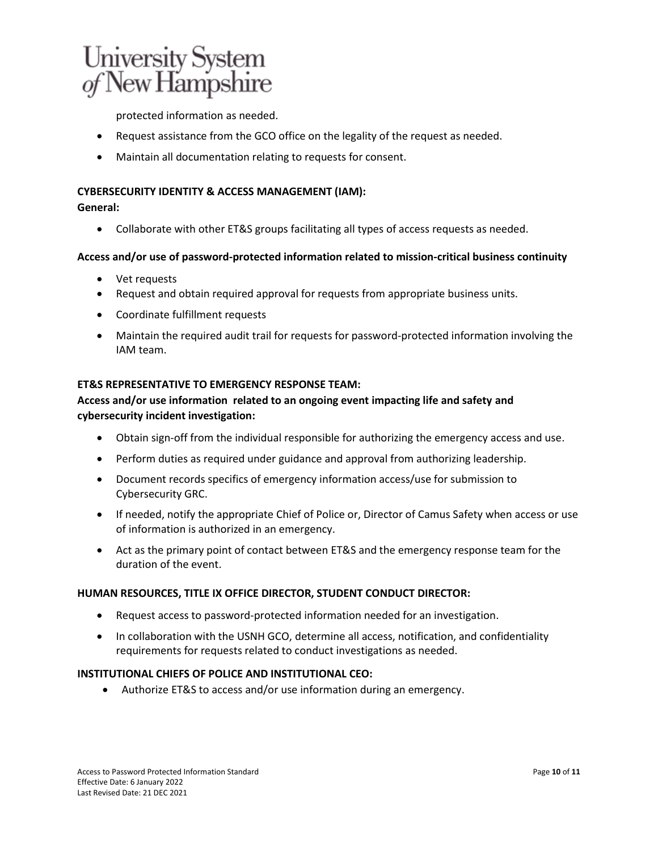protected information as needed.

- Request assistance from the GCO office on the legality of the request as needed.
- Maintain all documentation relating to requests for consent.

#### **CYBERSECURITY IDENTITY & ACCESS MANAGEMENT (IAM):**

#### **General:**

• Collaborate with other ET&S groups facilitating all types of access requests as needed.

#### **Access and/or use of password-protected information related to mission-critical business continuity**

- Vet requests
- Request and obtain required approval for requests from appropriate business units.
- Coordinate fulfillment requests
- Maintain the required audit trail for requests for password-protected information involving the IAM team.

#### **ET&S REPRESENTATIVE TO EMERGENCY RESPONSE TEAM:**

## **Access and/or use information related to an ongoing event impacting life and safety and cybersecurity incident investigation:**

- Obtain sign-off from the individual responsible for authorizing the emergency access and use.
- Perform duties as required under guidance and approval from authorizing leadership.
- Document records specifics of emergency information access/use for submission to Cybersecurity GRC.
- If needed, notify the appropriate Chief of Police or, Director of Camus Safety when access or use of information is authorized in an emergency.
- Act as the primary point of contact between ET&S and the emergency response team for the duration of the event.

#### **HUMAN RESOURCES, TITLE IX OFFICE DIRECTOR, STUDENT CONDUCT DIRECTOR:**

- Request access to password-protected information needed for an investigation.
- In collaboration with the USNH GCO, determine all access, notification, and confidentiality requirements for requests related to conduct investigations as needed.

#### **INSTITUTIONAL CHIEFS OF POLICE AND INSTITUTIONAL CEO:**

• Authorize ET&S to access and/or use information during an emergency.